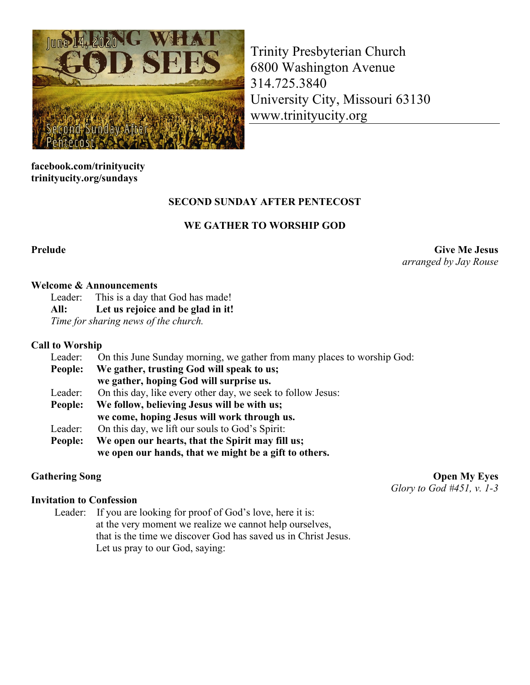

Trinity Presbyterian Church 6800 Washington Avenue 314.725.3840 University City, Missouri 63130 www.trinityucity.org

**facebook.com/trinityucity trinityucity.org/sundays**

# **SECOND SUNDAY AFTER PENTECOST**

# **WE GATHER TO WORSHIP GOD**

**Prelude Give Me Jesus** *arranged by Jay Rouse*

# **Welcome & Announcements**

Leader: This is a day that God has made! **All: Let us rejoice and be glad in it!** *Time for sharing news of the church.*

### **Call to Worship**

| Leader: | On this June Sunday morning, we gather from many places to worship God: |
|---------|-------------------------------------------------------------------------|
| People: | We gather, trusting God will speak to us;                               |
|         | we gather, hoping God will surprise us.                                 |
| Leader: | On this day, like every other day, we seek to follow Jesus:             |
| People: | We follow, believing Jesus will be with us;                             |
|         | we come, hoping Jesus will work through us.                             |
| Leader: | On this day, we lift our souls to God's Spirit:                         |
| People: | We open our hearts, that the Spirit may fill us;                        |
|         | we open our hands, that we might be a gift to others.                   |

## **Invitation to Confession**

Leader: If you are looking for proof of God's love, here it is: at the very moment we realize we cannot help ourselves, that is the time we discover God has saved us in Christ Jesus. Let us pray to our God, saying:

**Gathering Song Open My Eyes** *Glory to God #451, v. 1-3*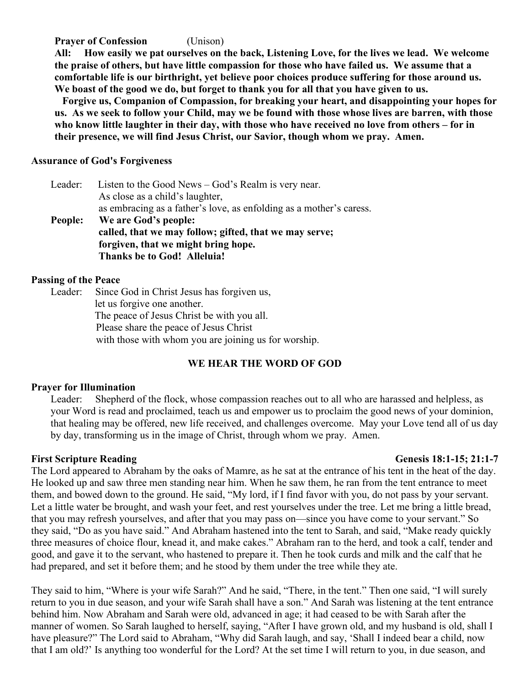**Prayer of Confession** (Unison)

**All: How easily we pat ourselves on the back, Listening Love, for the lives we lead. We welcome the praise of others, but have little compassion for those who have failed us. We assume that a comfortable life is our birthright, yet believe poor choices produce suffering for those around us. We boast of the good we do, but forget to thank you for all that you have given to us.**

**Forgive us, Companion of Compassion, for breaking your heart, and disappointing your hopes for us. As we seek to follow your Child, may we be found with those whose lives are barren, with those who know little laughter in their day, with those who have received no love from others – for in their presence, we will find Jesus Christ, our Savior, though whom we pray. Amen.**

### **Assurance of God's Forgiveness**

|         | Leader: Listen to the Good News – God's Realm is very near.         |
|---------|---------------------------------------------------------------------|
|         | As close as a child's laughter,                                     |
|         | as embracing as a father's love, as enfolding as a mother's caress. |
| People: | We are God's people:                                                |
|         | called, that we may follow; gifted, that we may serve;              |
|         | forgiven, that we might bring hope.                                 |
|         | Thanks be to God! Alleluia!                                         |
|         |                                                                     |

### **Passing of the Peace**

Leader: Since God in Christ Jesus has forgiven us, let us forgive one another. The peace of Jesus Christ be with you all. Please share the peace of Jesus Christ with those with whom you are joining us for worship.

### **WE HEAR THE WORD OF GOD**

### **Prayer for Illumination**

Leader: Shepherd of the flock, whose compassion reaches out to all who are harassed and helpless, as your Word is read and proclaimed, teach us and empower us to proclaim the good news of your dominion, that healing may be offered, new life received, and challenges overcome. May your Love tend all of us day by day, transforming us in the image of Christ, through whom we pray. Amen.

### **First Scripture Reading Genesis 18:1-15; 21:1-7**

The Lord appeared to Abraham by the oaks of Mamre, as he sat at the entrance of his tent in the heat of the day. He looked up and saw three men standing near him. When he saw them, he ran from the tent entrance to meet them, and bowed down to the ground. He said, "My lord, if I find favor with you, do not pass by your servant. Let a little water be brought, and wash your feet, and rest yourselves under the tree. Let me bring a little bread, that you may refresh yourselves, and after that you may pass on—since you have come to your servant." So they said, "Do as you have said." And Abraham hastened into the tent to Sarah, and said, "Make ready quickly three measures of choice flour, knead it, and make cakes." Abraham ran to the herd, and took a calf, tender and good, and gave it to the servant, who hastened to prepare it. Then he took curds and milk and the calf that he had prepared, and set it before them; and he stood by them under the tree while they ate.

They said to him, "Where is your wife Sarah?" And he said, "There, in the tent." Then one said, "I will surely return to you in due season, and your wife Sarah shall have a son." And Sarah was listening at the tent entrance behind him. Now Abraham and Sarah were old, advanced in age; it had ceased to be with Sarah after the manner of women. So Sarah laughed to herself, saying, "After I have grown old, and my husband is old, shall I have pleasure?" The Lord said to Abraham, "Why did Sarah laugh, and say, 'Shall I indeed bear a child, now that I am old?' Is anything too wonderful for the Lord? At the set time I will return to you, in due season, and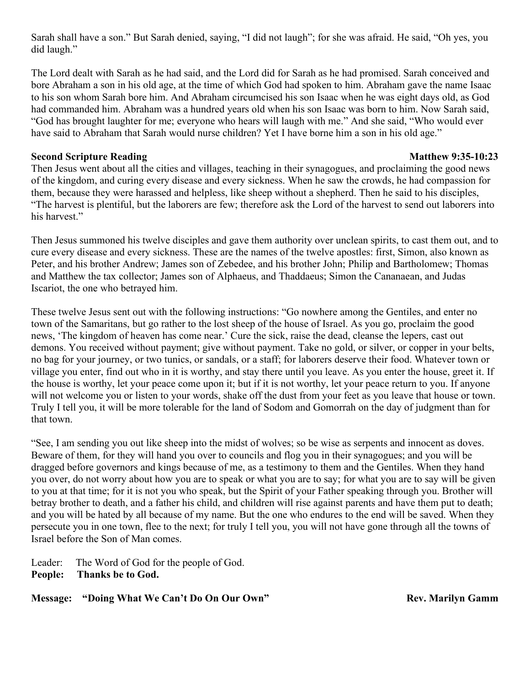Sarah shall have a son." But Sarah denied, saying, "I did not laugh"; for she was afraid. He said, "Oh yes, you did laugh."

The Lord dealt with Sarah as he had said, and the Lord did for Sarah as he had promised. Sarah conceived and bore Abraham a son in his old age, at the time of which God had spoken to him. Abraham gave the name Isaac to his son whom Sarah bore him. And Abraham circumcised his son Isaac when he was eight days old, as God had commanded him. Abraham was a hundred years old when his son Isaac was born to him. Now Sarah said, "God has brought laughter for me; everyone who hears will laugh with me." And she said, "Who would ever have said to Abraham that Sarah would nurse children? Yet I have borne him a son in his old age."

### **Second Scripture Reading**  Matthew 9:35-10:23

Then Jesus went about all the cities and villages, teaching in their synagogues, and proclaiming the good news of the kingdom, and curing every disease and every sickness. When he saw the crowds, he had compassion for them, because they were harassed and helpless, like sheep without a shepherd. Then he said to his disciples, "The harvest is plentiful, but the laborers are few; therefore ask the Lord of the harvest to send out laborers into his harvest."

Then Jesus summoned his twelve disciples and gave them authority over unclean spirits, to cast them out, and to cure every disease and every sickness. These are the names of the twelve apostles: first, Simon, also known as Peter, and his brother Andrew; James son of Zebedee, and his brother John; Philip and Bartholomew; Thomas and Matthew the tax collector; James son of Alphaeus, and Thaddaeus; Simon the Cananaean, and Judas Iscariot, the one who betrayed him.

These twelve Jesus sent out with the following instructions: "Go nowhere among the Gentiles, and enter no town of the Samaritans, but go rather to the lost sheep of the house of Israel. As you go, proclaim the good news, 'The kingdom of heaven has come near.' Cure the sick, raise the dead, cleanse the lepers, cast out demons. You received without payment; give without payment. Take no gold, or silver, or copper in your belts, no bag for your journey, or two tunics, or sandals, or a staff; for laborers deserve their food. Whatever town or village you enter, find out who in it is worthy, and stay there until you leave. As you enter the house, greet it. If the house is worthy, let your peace come upon it; but if it is not worthy, let your peace return to you. If anyone will not welcome you or listen to your words, shake off the dust from your feet as you leave that house or town. Truly I tell you, it will be more tolerable for the land of Sodom and Gomorrah on the day of judgment than for that town.

"See, I am sending you out like sheep into the midst of wolves; so be wise as serpents and innocent as doves. Beware of them, for they will hand you over to councils and flog you in their synagogues; and you will be dragged before governors and kings because of me, as a testimony to them and the Gentiles. When they hand you over, do not worry about how you are to speak or what you are to say; for what you are to say will be given to you at that time; for it is not you who speak, but the Spirit of your Father speaking through you. Brother will betray brother to death, and a father his child, and children will rise against parents and have them put to death; and you will be hated by all because of my name. But the one who endures to the end will be saved. When they persecute you in one town, flee to the next; for truly I tell you, you will not have gone through all the towns of Israel before the Son of Man comes.

Leader: The Word of God for the people of God.

**People: Thanks be to God.**

**Message:** "Doing What We Can't Do On Our Own" Rev. Marilyn Gamm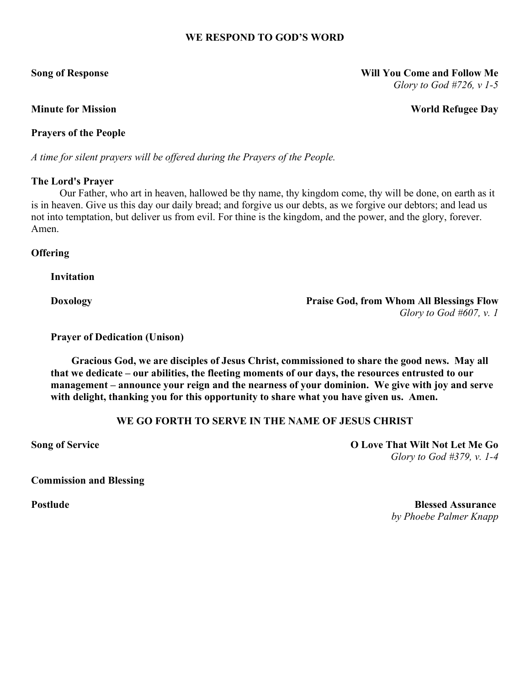### **WE RESPOND TO GOD'S WORD**

**Prayers of the People**

*A time for silent prayers will be offered during the Prayers of the People.*

### **The Lord's Prayer**

 Our Father, who art in heaven, hallowed be thy name, thy kingdom come, thy will be done, on earth as it is in heaven. Give us this day our daily bread; and forgive us our debts, as we forgive our debtors; and lead us not into temptation, but deliver us from evil. For thine is the kingdom, and the power, and the glory, forever. Amen.

### **Offering**

**Invitation**

**Doxology Praise God, from Whom All Blessings Flow** *Glory to God #607, v. 1*

### **Prayer of Dedication (Unison)**

 **Gracious God, we are disciples of Jesus Christ, commissioned to share the good news. May all that we dedicate – our abilities, the fleeting moments of our days, the resources entrusted to our management – announce your reign and the nearness of your dominion. We give with joy and serve with delight, thanking you for this opportunity to share what you have given us. Amen.**

### **WE GO FORTH TO SERVE IN THE NAME OF JESUS CHRIST**

**Song of Service O Love That Wilt Not Let Me Go** *Glory to God #379, v. 1-4*

**Commission and Blessing**

**Postlude Blessed Assurance** *by Phoebe Palmer Knapp*

**Song of Response Will You Come and Follow Me** *Glory to God #726, v 1-5*

**Minute for Mission World Refugee Day**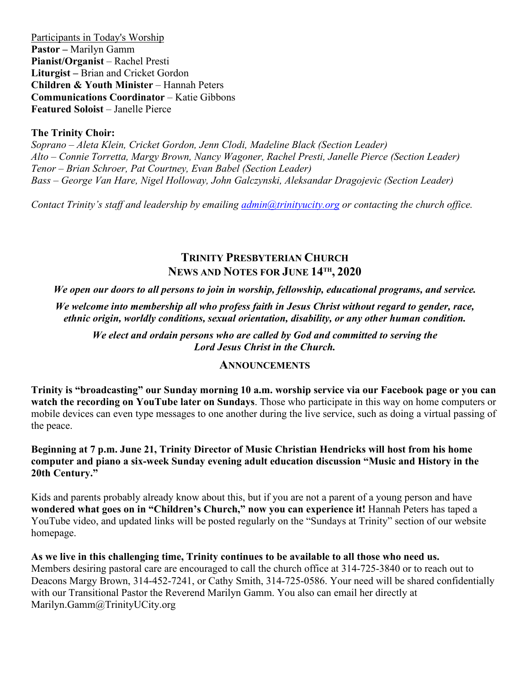Participants in Today's Worship **Pastor –** Marilyn Gamm **Pianist/Organist** – Rachel Presti **Liturgist –** Brian and Cricket Gordon **Children & Youth Minister** – Hannah Peters **Communications Coordinator** – Katie Gibbons **Featured Soloist** – Janelle Pierce

### **The Trinity Choir:**

*Soprano – Aleta Klein, Cricket Gordon, Jenn Clodi, Madeline Black (Section Leader) Alto – Connie Torretta, Margy Brown, Nancy Wagoner, Rachel Presti, Janelle Pierce (Section Leader) Tenor – Brian Schroer, Pat Courtney, Evan Babel (Section Leader) Bass – George Van Hare, Nigel Holloway, John Galczynski, Aleksandar Dragojevic (Section Leader)*

*Contact Trinity's staff and leadership by emailing [admin@trinityucity.org](mailto:admin@trinityucity.org) or contacting the church office.*

# **TRINITY PRESBYTERIAN CHURCH NEWS AND NOTES FOR JUNE 14TH , 2020**

*We open our doors to all persons to join in worship, fellowship, educational programs, and service.*

*We welcome into membership all who profess faith in Jesus Christ without regard to gender, race, ethnic origin, worldly conditions, sexual orientation, disability, or any other human condition.*

*We elect and ordain persons who are called by God and committed to serving the Lord Jesus Christ in the Church.*

### **ANNOUNCEMENTS**

**Trinity is "broadcasting" our Sunday morning 10 a.m. worship service via our Facebook page or you can watch the recording on YouTube later on Sundays**. Those who participate in this way on home computers or mobile devices can even type messages to one another during the live service, such as doing a virtual passing of the peace.

**Beginning at 7 p.m. June 21, Trinity Director of Music Christian Hendricks will host from his home computer and piano a six-week Sunday evening adult education discussion "Music and History in the 20th Century."**

Kids and parents probably already know about this, but if you are not a parent of a young person and have **wondered what goes on in "Children's Church," now you can experience it!** Hannah Peters has taped a YouTube video, and updated links will be posted regularly on the "Sundays at Trinity" section of our website homepage.

**As we live in this challenging time, Trinity continues to be available to all those who need us.**  Members desiring pastoral care are encouraged to call the church office at 314-725-3840 or to reach out to Deacons Margy Brown, 314-452-7241, or Cathy Smith, 314-725-0586. Your need will be shared confidentially with our Transitional Pastor the Reverend Marilyn Gamm. You also can email her directly at Marilyn.Gamm@TrinityUCity.org